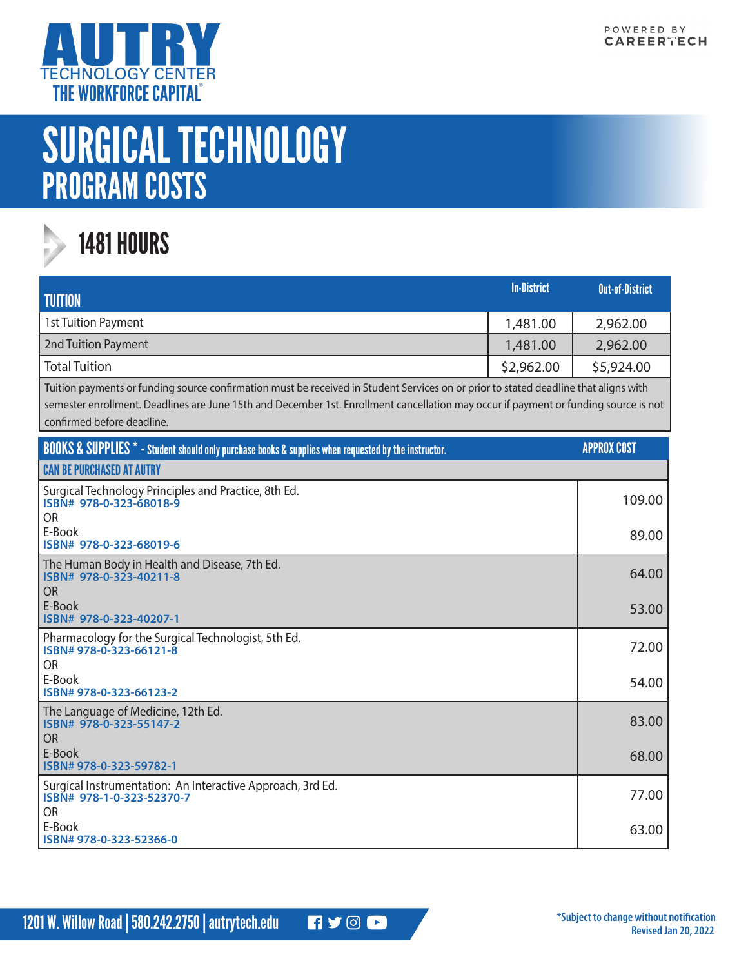

## SURGICAL TECHNOLOGY PROGRAM COSTS



## 1481 HOURS

| <b>TUITION</b>       | <b>In-District</b> | <b>Out-of-District</b> |
|----------------------|--------------------|------------------------|
| 1st Tuition Payment  | 1,481.00           | 2,962.00               |
| 2nd Tuition Payment  | 1,481.00           | 2,962.00               |
| <b>Total Tuition</b> | \$2,962.00         | \$5,924.00             |

Tuition payments or funding source confirmation must be received in Student Services on or prior to stated deadline that aligns with semester enrollment. Deadlines are June 15th and December 1st. Enrollment cancellation may occur if payment or funding source is not confirmed before deadline.

| <b>BOOKS &amp; SUPPLIES</b> * - Student should only purchase books & supplies when requested by the instructor. | <b>APPROX COST</b> |
|-----------------------------------------------------------------------------------------------------------------|--------------------|
| <b>CAN BE PURCHASED AT AUTRY</b>                                                                                |                    |
| Surgical Technology Principles and Practice, 8th Ed.<br>ISBN# 978-0-323-68018-9<br>OR.                          | 109.00             |
| E-Book<br>ISBN# 978-0-323-68019-6                                                                               | 89.00              |
| The Human Body in Health and Disease, 7th Ed.<br>ISBN# 978-0-323-40211-8<br>O <sub>R</sub>                      | 64.00              |
| E-Book<br>ISBN# 978-0-323-40207-1                                                                               | 53.00              |
| Pharmacology for the Surgical Technologist, 5th Ed.<br>ISBN# 978-0-323-66121-8<br><b>OR</b>                     | 72.00              |
| E-Book<br>ISBN# 978-0-323-66123-2                                                                               | 54.00              |
| The Language of Medicine, 12th Ed.<br>ISBN# 978-0-323-55147-2<br>OR.                                            | 83.00              |
| E-Book<br>ISBN# 978-0-323-59782-1                                                                               | 68.00              |
| Surgical Instrumentation: An Interactive Approach, 3rd Ed.<br>ISBN# 978-1-0-323-52370-7<br>OR.                  | 77.00              |
| E-Book<br>ISBN# 978-0-323-52366-0                                                                               | 63.00              |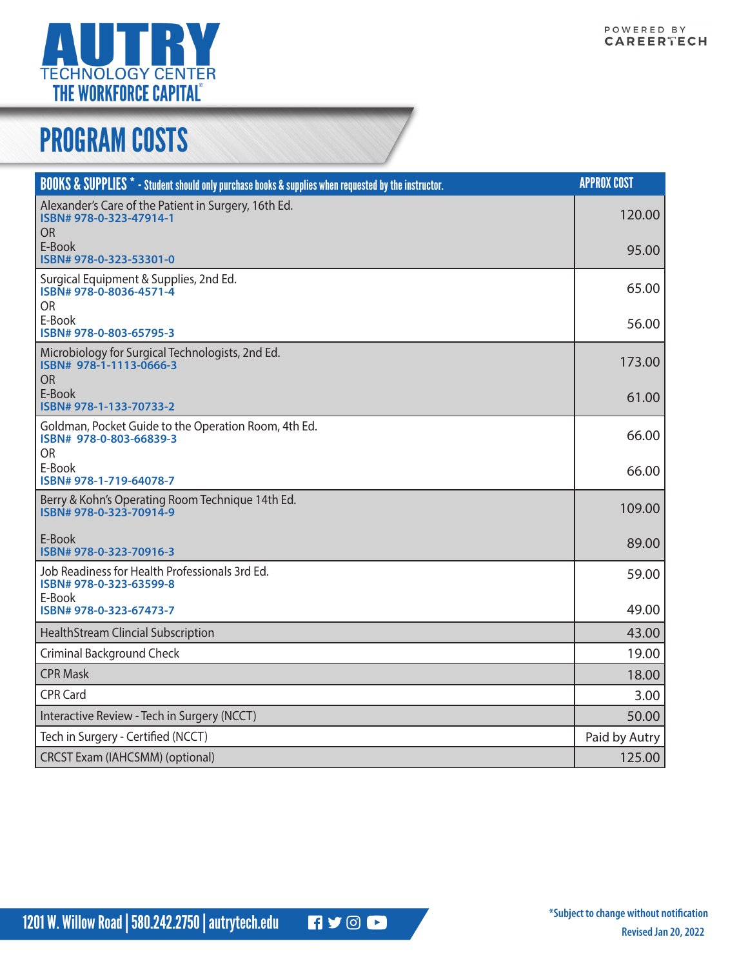

## PROGRAM COSTS

| <b>BOOKS &amp; SUPPLIES</b> * - Student should only purchase books & supplies when requested by the instructor. | <b>APPROX COST</b> |
|-----------------------------------------------------------------------------------------------------------------|--------------------|
| Alexander's Care of the Patient in Surgery, 16th Ed.<br>ISBN# 978-0-323-47914-1<br><b>OR</b>                    | 120.00             |
| E-Book<br>ISBN# 978-0-323-53301-0                                                                               | 95.00              |
| Surgical Equipment & Supplies, 2nd Ed.<br>ISBN# 978-0-8036-4571-4<br><b>OR</b>                                  | 65.00              |
| E-Book<br>ISBN# 978-0-803-65795-3                                                                               | 56.00              |
| Microbiology for Surgical Technologists, 2nd Ed.<br>ISBN# 978-1-1113-0666-3<br><b>OR</b>                        | 173.00             |
| E-Book<br>ISBN# 978-1-133-70733-2                                                                               | 61.00              |
| Goldman, Pocket Guide to the Operation Room, 4th Ed.<br>ISBN# 978-0-803-66839-3<br><b>OR</b>                    | 66.00              |
| E-Book<br>ISBN# 978-1-719-64078-7                                                                               | 66.00              |
| Berry & Kohn's Operating Room Technique 14th Ed.<br>ISBN# 978-0-323-70914-9                                     | 109.00             |
| E-Book<br>ISBN# 978-0-323-70916-3                                                                               | 89.00              |
| Job Readiness for Health Professionals 3rd Ed.<br>ISBN# 978-0-323-63599-8                                       | 59.00              |
| E-Book<br>ISBN# 978-0-323-67473-7                                                                               | 49.00              |
| <b>HealthStream Clincial Subscription</b>                                                                       | 43.00              |
| <b>Criminal Background Check</b>                                                                                | 19.00              |
| <b>CPR Mask</b>                                                                                                 | 18.00              |
| <b>CPR Card</b>                                                                                                 | 3.00               |
| Interactive Review - Tech in Surgery (NCCT)                                                                     | 50.00              |
| Tech in Surgery - Certified (NCCT)                                                                              | Paid by Autry      |
| <b>CRCST Exam (IAHCSMM) (optional)</b>                                                                          | 125.00             |